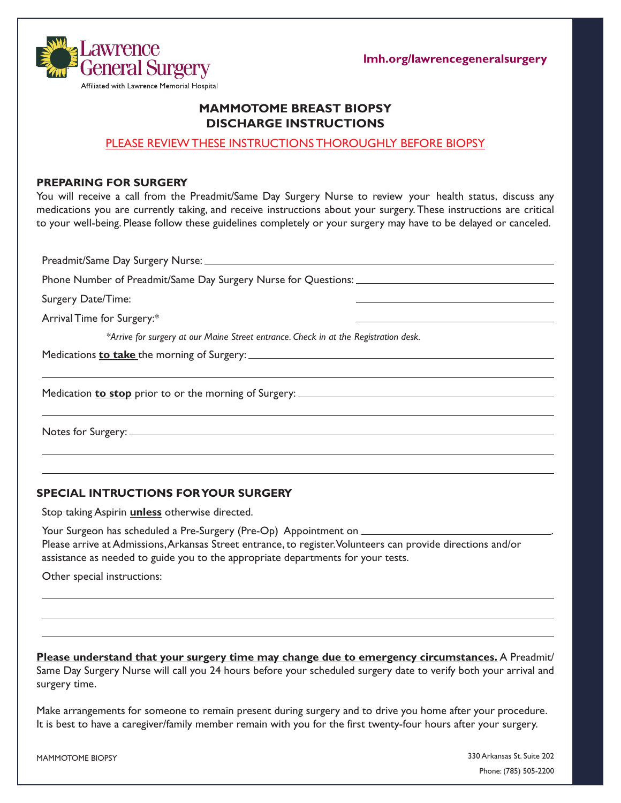



# **MAMMOTOME BREAST BIOPSY DISCHARGE INSTRUCTIONS**

## PLEASE REVIEW THESE INSTRUCTIONS THOROUGHLY BEFORE BIOPSY

#### **PREPARING FOR SURGERY**

You will receive a call from the Preadmit/Same Day Surgery Nurse to review your health status, discuss any medications you are currently taking, and receive instructions about your surgery. These instructions are critical to your well-being. Please follow these guidelines completely or your surgery may have to be delayed or canceled.

Preadmit/Same Day Surgery Nurse: Phone Number of Preadmit/Same Day Surgery Nurse for Questions: Surgery Date/Time: Arrival Time for Surgery:\* *\*Arrive for surgery at our Maine Street entrance. Check in at the Registration desk.*  Medications **to take** the morning of Surgery: Medication **to stop** prior to or the morning of Surgery: Notes for Surgery:

### **SPECIAL INTRUCTIONS FOR YOUR SURGERY**

Stop taking Aspirin **unless** otherwise directed.

Your Surgeon has scheduled a Pre-Surgery (Pre-Op) Appointment on \_\_\_\_\_\_\_\_ Please arrive at Admissions, Arkansas Street entrance, to register. Volunteers can provide directions and/or assistance as needed to guide you to the appropriate departments for your tests.

Other special instructions:

**Please understand that your surgery time may change due to emergency circumstances.** A Preadmit/ Same Day Surgery Nurse will call you 24 hours before your scheduled surgery date to verify both your arrival and surgery time.

Make arrangements for someone to remain present during surgery and to drive you home after your procedure. It is best to have a caregiver/family member remain with you for the first twenty-four hours after your surgery.

MAMMOTOME BIOPSY

330 Arkansas St. Suite 202 Phone: (785) 505-2200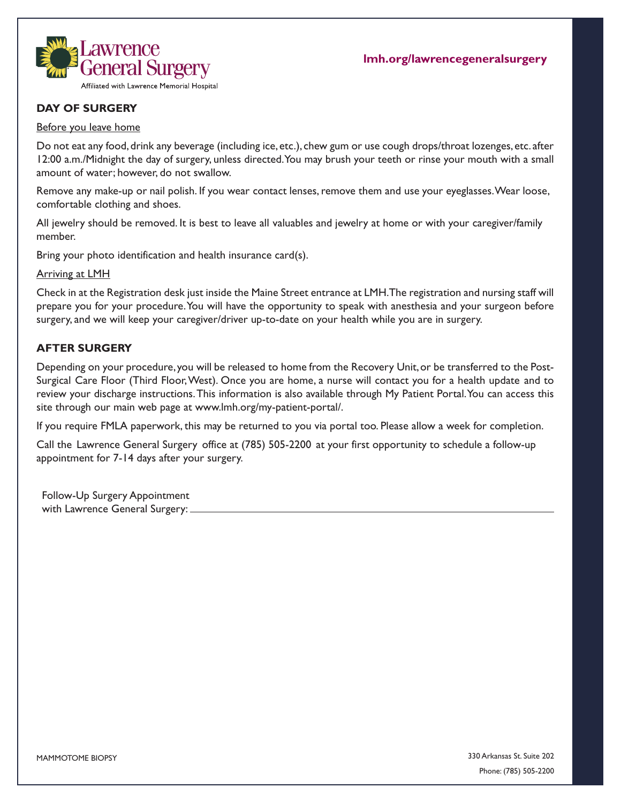

# **DAY OF SURGERY**

#### Before you leave home

Do not eat any food, drink any beverage (including ice, etc.), chew gum or use cough drops/throat lozenges, etc. after 12:00 a.m./Midnight the day of surgery, unless directed. You may brush your teeth or rinse your mouth with a small amount of water; however, do not swallow.

Remove any make-up or nail polish. If you wear contact lenses, remove them and use your eyeglasses. Wear loose, comfortable clothing and shoes.

All jewelry should be removed. It is best to leave all valuables and jewelry at home or with your caregiver/family member.

Bring your photo identification and health insurance card(s).

Arriving at LMH

Check in at the Registration desk just inside the Maine Street entrance at LMH. The registration and nursing staff will prepare you for your procedure. You will have the opportunity to speak with anesthesia and your surgeon before surgery, and we will keep your caregiver/driver up-to-date on your health while you are in surgery.

## **AFTER SURGERY**

Depending on your procedure, you will be released to home from the Recovery Unit, or be transferred to the Post-Surgical Care Floor (Third Floor, West). Once you are home, a nurse will contact you for a health update and to review your discharge instructions.This information is also available through My Patient Portal. You can access this site through our main web page at www.lmh.org/my-patient-portal/.

If you require FMLA paperwork, this may be returned to you via portal too. Please allow a week for completion.

Call the Lawrence General Surgery office at (785) 505-2200 at your first opportunity to schedule a follow-up appointment for 7-14 days after your surgery.

Follow-Up Surgery Appointment with Lawrence General Surgery:

330 Arkansas St. Suite 202 Phone: (785) 505-2200